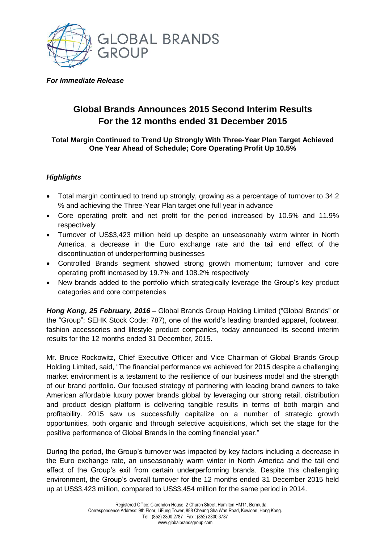

### *For Immediate Release*

# **Global Brands Announces 2015 Second Interim Results For the 12 months ended 31 December 2015**

## **Total Margin Continued to Trend Up Strongly With Three-Year Plan Target Achieved One Year Ahead of Schedule; Core Operating Profit Up 10.5%**

# *Highlights*

- Total margin continued to trend up strongly, growing as a percentage of turnover to 34.2 % and achieving the Three-Year Plan target one full year in advance
- Core operating profit and net profit for the period increased by 10.5% and 11.9% respectively
- Turnover of US\$3,423 million held up despite an unseasonably warm winter in North America, a decrease in the Euro exchange rate and the tail end effect of the discontinuation of underperforming businesses
- Controlled Brands segment showed strong growth momentum; turnover and core operating profit increased by 19.7% and 108.2% respectively
- New brands added to the portfolio which strategically leverage the Group's key product categories and core competencies

*Hong Kong, 25 February, 2016* – Global Brands Group Holding Limited ("Global Brands" or the "Group"; SEHK Stock Code: 787), one of the world's leading branded apparel, footwear, fashion accessories and lifestyle product companies, today announced its second interim results for the 12 months ended 31 December, 2015.

Mr. Bruce Rockowitz, Chief Executive Officer and Vice Chairman of Global Brands Group Holding Limited, said, "The financial performance we achieved for 2015 despite a challenging market environment is a testament to the resilience of our business model and the strength of our brand portfolio. Our focused strategy of partnering with leading brand owners to take American affordable luxury power brands global by leveraging our strong retail, distribution and product design platform is delivering tangible results in terms of both margin and profitability. 2015 saw us successfully capitalize on a number of strategic growth opportunities, both organic and through selective acquisitions, which set the stage for the positive performance of Global Brands in the coming financial year."

During the period, the Group's turnover was impacted by key factors including a decrease in the Euro exchange rate, an unseasonably warm winter in North America and the tail end effect of the Group's exit from certain underperforming brands. Despite this challenging environment, the Group's overall turnover for the 12 months ended 31 December 2015 held up at US\$3,423 million, compared to US\$3,454 million for the same period in 2014.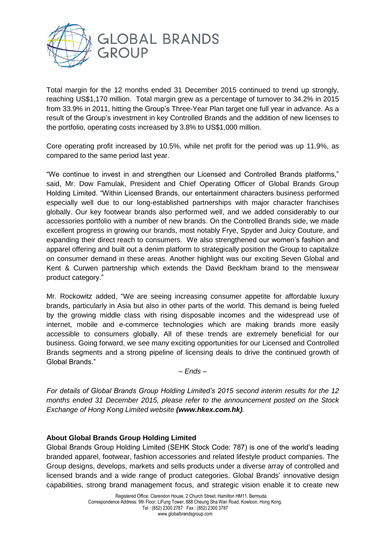

Total margin for the 12 months ended 31 December 2015 continued to trend up strongly, reaching US\$1,170 million. Total margin grew as a percentage of turnover to 34.2% in 2015 from 33.9% in 2011, hitting the Group's Three-Year Plan target one full year in advance. As a result of the Group's investment in key Controlled Brands and the addition of new licenses to the portfolio, operating costs increased by 3.8% to US\$1,000 million.

Core operating profit increased by 10.5%, while net profit for the period was up 11.9%, as compared to the same period last year.

"We continue to invest in and strengthen our Licensed and Controlled Brands platforms," said, Mr. Dow Famulak, President and Chief Operating Officer of Global Brands Group Holding Limited. "Within Licensed Brands, our entertainment characters business performed especially well due to our long-established partnerships with major character franchises globally. Our key footwear brands also performed well, and we added considerably to our accessories portfolio with a number of new brands. On the Controlled Brands side, we made excellent progress in growing our brands, most notably Frye, Spyder and Juicy Couture, and expanding their direct reach to consumers. We also strengthened our women's fashion and apparel offering and built out a denim platform to strategically position the Group to capitalize on consumer demand in these areas. Another highlight was our exciting Seven Global and Kent & Curwen partnership which extends the David Beckham brand to the menswear product category."

Mr. Rockowitz added, "We are seeing increasing consumer appetite for affordable luxury brands, particularly in Asia but also in other parts of the world. This demand is being fueled by the growing middle class with rising disposable incomes and the widespread use of internet, mobile and e-commerce technologies which are making brands more easily accessible to consumers globally. All of these trends are extremely beneficial for our business. Going forward, we see many exciting opportunities for our Licensed and Controlled Brands segments and a strong pipeline of licensing deals to drive the continued growth of Global Brands."

*– Ends –*

*For details of Global Brands Group Holding Limited's 2015 second interim results for the 12 months ended 31 December 2015, please refer to the announcement posted on the Stock Exchange of Hong Kong Limited website (www.hkex.com.hk).* 

# **About Global Brands Group Holding Limited**

Global Brands Group Holding Limited (SEHK Stock Code: 787) is one of the world's leading branded apparel, footwear, fashion accessories and related lifestyle product companies. The Group designs, develops, markets and sells products under a diverse array of controlled and licensed brands and a wide range of product categories. Global Brands' innovative design capabilities, strong brand management focus, and strategic vision enable it to create new